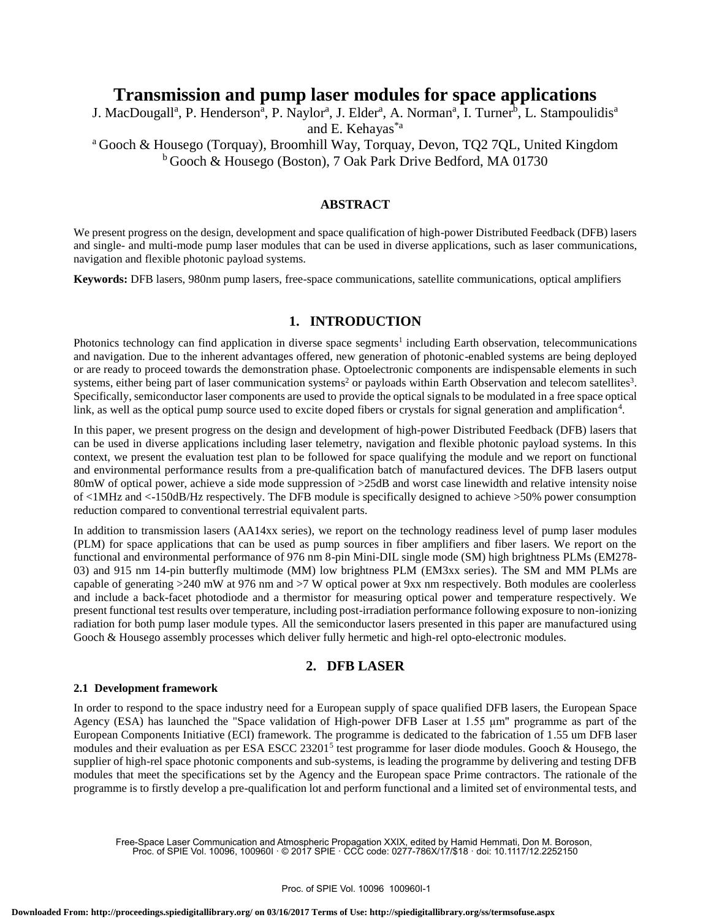# **Transmission and pump laser modules for space applications**

J. MacDougall<sup>a</sup>, P. Henderson<sup>a</sup>, P. Naylor<sup>a</sup>, J. Elder<sup>a</sup>, A. Norman<sup>a</sup>, I. Turner<sup>b</sup>, L. Stampoulidis<sup>a</sup> and E. Kehayas\*a

<sup>a</sup> Gooch & Housego (Torquay), Broomhill Way, Torquay, Devon, TQ2 7QL, United Kingdom <sup>b</sup> Gooch & Housego (Boston), 7 Oak Park Drive Bedford, MA 01730

# **ABSTRACT**

We present progress on the design, development and space qualification of high-power Distributed Feedback (DFB) lasers and single- and multi-mode pump laser modules that can be used in diverse applications, such as laser communications, navigation and flexible photonic payload systems.

**Keywords:** DFB lasers, 980nm pump lasers, free-space communications, satellite communications, optical amplifiers

### **1. INTRODUCTION**

Photonics technology can find application in diverse space segments<sup>1</sup> including Earth observation, telecommunications and navigation. Due to the inherent advantages offered, new generation of photonic-enabled systems are being deployed or are ready to proceed towards the demonstration phase. Optoelectronic components are indispensable elements in such systems, either being part of laser communication systems<sup>2</sup> or payloads within Earth Observation and telecom satellites<sup>3</sup>. Specifically, semiconductor laser components are used to provide the optical signals to be modulated in a free space optical link, as well as the optical pump source used to excite doped fibers or crystals for signal generation and amplification<sup>4</sup>.

In this paper, we present progress on the design and development of high-power Distributed Feedback (DFB) lasers that can be used in diverse applications including laser telemetry, navigation and flexible photonic payload systems. In this context, we present the evaluation test plan to be followed for space qualifying the module and we report on functional and environmental performance results from a pre-qualification batch of manufactured devices. The DFB lasers output 80mW of optical power, achieve a side mode suppression of  $>25$ dB and worst case linewidth and relative intensity noise of <1MHz and <-150dB/Hz respectively. The DFB module is specifically designed to achieve >50% power consumption reduction compared to conventional terrestrial equivalent parts.

In addition to transmission lasers (AA14xx series), we report on the technology readiness level of pump laser modules (PLM) for space applications that can be used as pump sources in fiber amplifiers and fiber lasers. We report on the functional and environmental performance of 976 nm 8-pin Mini-DIL single mode (SM) high brightness PLMs (EM278- 03) and 915 nm 14-pin butterfly multimode (MM) low brightness PLM (EM3xx series). The SM and MM PLMs are capable of generating >240 mW at 976 nm and >7 W optical power at 9xx nm respectively. Both modules are coolerless and include a back-facet photodiode and a thermistor for measuring optical power and temperature respectively. We present functional test results over temperature, including post-irradiation performance following exposure to non-ionizing radiation for both pump laser module types. All the semiconductor lasers presented in this paper are manufactured using Gooch & Housego assembly processes which deliver fully hermetic and high-rel opto-electronic modules.

# **2. DFB LASER**

#### **2.1 Development framework**

In order to respond to the space industry need for a European supply of space qualified DFB lasers, the European Space Agency (ESA) has launched the "Space validation of High-power DFB Laser at 1.55 μm" programme as part of the European Components Initiative (ECI) framework. The programme is dedicated to the fabrication of 1.55 um DFB laser modules and their evaluation as per ESA ESCC 23201<sup>5</sup> test programme for laser diode modules. Gooch & Housego, the supplier of high-rel space photonic components and sub-systems, is leading the programme by delivering and testing DFB modules that meet the specifications set by the Agency and the European space Prime contractors. The rationale of the programme is to firstly develop a pre-qualification lot and perform functional and a limited set of environmental tests, and

Free-Space Laser Communication and Atmospheric Propagation XXIX, edited by Hamid Hemmati, Don M. Boroson, Proc. of SPIE Vol. 10096, 100960I · © 2017 SPIE · CCC code: 0277-786X/17/\$18 · doi: 10.1117/12.2252150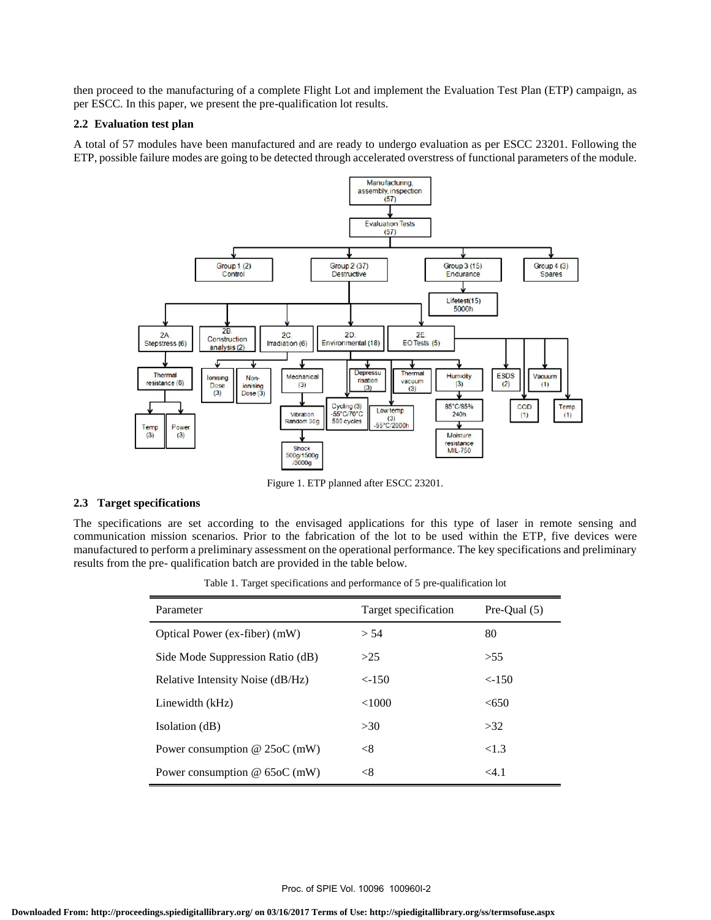then proceed to the manufacturing of a complete Flight Lot and implement the Evaluation Test Plan (ETP) campaign, as per ESCC. In this paper, we present the pre-qualification lot results.

### **2.2 Evaluation test plan**

A total of 57 modules have been manufactured and are ready to undergo evaluation as per ESCC 23201. Following the ETP, possible failure modes are going to be detected through accelerated overstress of functional parameters of the module.



Figure 1. ETP planned after ESCC 23201.

### **2.3 Target specifications**

The specifications are set according to the envisaged applications for this type of laser in remote sensing and communication mission scenarios. Prior to the fabrication of the lot to be used within the ETP, five devices were manufactured to perform a preliminary assessment on the operational performance. The key specifications and preliminary results from the pre- qualification batch are provided in the table below.

Table 1. Target specifications and performance of 5 pre-qualification lot

| Parameter                        | Target specification | Pre-Oual $(5)$ |
|----------------------------------|----------------------|----------------|
| Optical Power (ex-fiber) (mW)    | > 54                 | 80             |
| Side Mode Suppression Ratio (dB) | >25                  | >55            |
| Relative Intensity Noise (dB/Hz) | $<$ -150             | $\leq -150$    |
| Linewidth (kHz)                  | <1000                | <650           |
| Isolation (dB)                   | >30                  | >32            |
| Power consumption $@$ 25oC (mW)  | $<$ 8                | <1.3           |
| Power consumption $@$ 65oC (mW)  | < 8                  | $<$ 4.1        |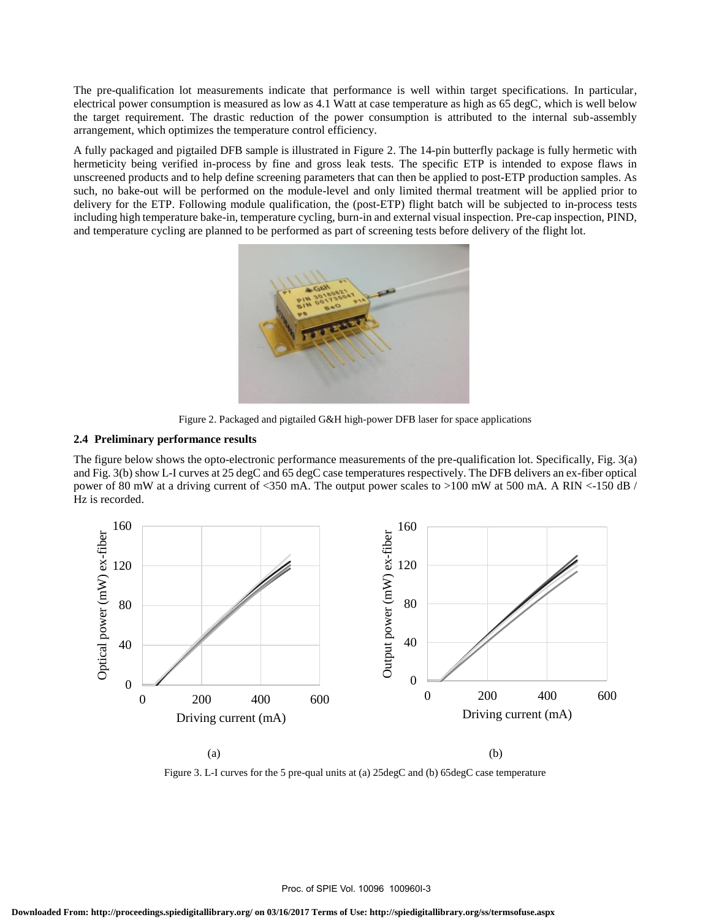The pre-qualification lot measurements indicate that performance is well within target specifications. In particular, electrical power consumption is measured as low as 4.1 Watt at case temperature as high as 65 degC, which is well below the target requirement. The drastic reduction of the power consumption is attributed to the internal sub-assembly arrangement, which optimizes the temperature control efficiency.

A fully packaged and pigtailed DFB sample is illustrated in Figure 2. The 14-pin butterfly package is fully hermetic with hermeticity being verified in-process by fine and gross leak tests. The specific ETP is intended to expose flaws in unscreened products and to help define screening parameters that can then be applied to post-ETP production samples. As such, no bake-out will be performed on the module-level and only limited thermal treatment will be applied prior to delivery for the ETP. Following module qualification, the (post-ETP) flight batch will be subjected to in-process tests including high temperature bake-in, temperature cycling, burn-in and external visual inspection. Pre-cap inspection, PIND, and temperature cycling are planned to be performed as part of screening tests before delivery of the flight lot.



Figure 2. Packaged and pigtailed G&H high-power DFB laser for space applications

### **2.4 Preliminary performance results**

The figure below shows the opto-electronic performance measurements of the pre-qualification lot. Specifically, Fig. 3(a) and Fig. 3(b) show L-I curves at 25 degC and 65 degC case temperatures respectively. The DFB delivers an ex-fiber optical power of 80 mW at a driving current of <350 mA. The output power scales to >100 mW at 500 mA. A RIN <-150 dB / Hz is recorded.



Figure 3. L-I curves for the 5 pre-qual units at (a) 25degC and (b) 65degC case temperature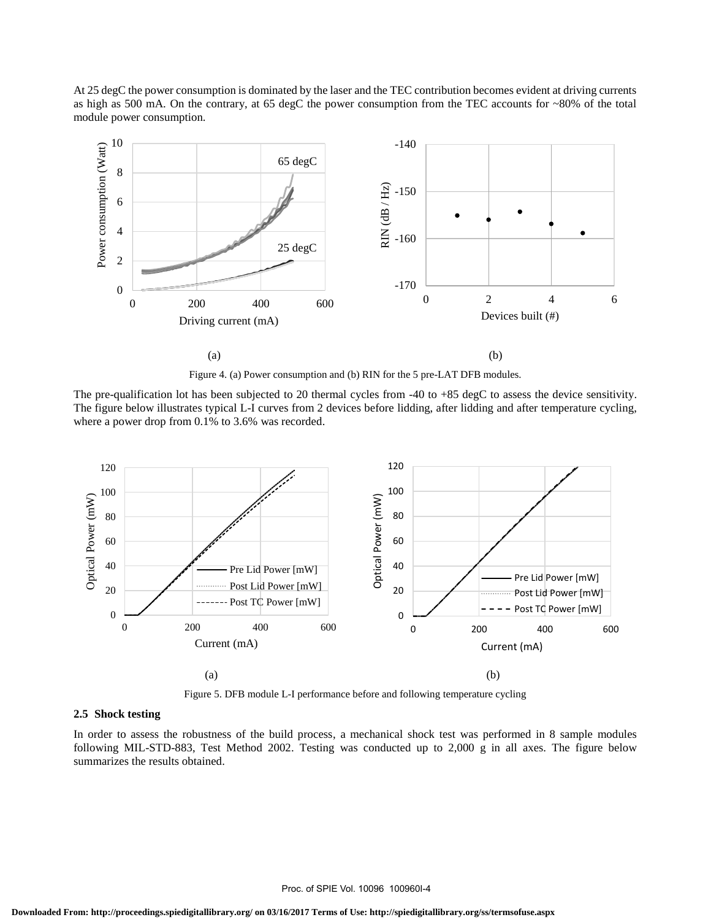At 25 degC the power consumption is dominated by the laser and the TEC contribution becomes evident at driving currents as high as 500 mA. On the contrary, at 65 degC the power consumption from the TEC accounts for ~80% of the total module power consumption.



Figure 4. (a) Power consumption and (b) RIN for the 5 pre-LAT DFB modules.

The pre-qualification lot has been subjected to 20 thermal cycles from -40 to +85 degC to assess the device sensitivity. The figure below illustrates typical L-I curves from 2 devices before lidding, after lidding and after temperature cycling, where a power drop from 0.1% to 3.6% was recorded.



Figure 5. DFB module L-I performance before and following temperature cycling

#### **2.5 Shock testing**

In order to assess the robustness of the build process, a mechanical shock test was performed in 8 sample modules following MIL-STD-883, Test Method 2002. Testing was conducted up to 2,000 g in all axes. The figure below summarizes the results obtained.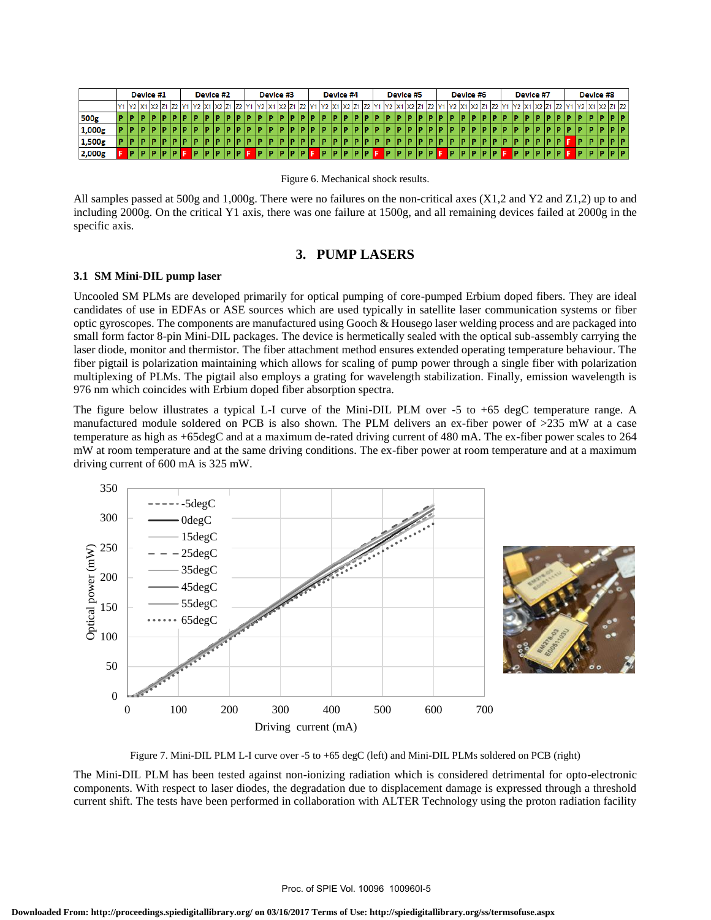|        |     |     |   | Device #1      |  |  |              | Device #2 |                               |  | Device #3    |                               |  |  | Device #4   |  |  | Device #5              |  |  | Device #6              |  |  | Device #7 |  |                        |            | Device #8 |     |                |
|--------|-----|-----|---|----------------|--|--|--------------|-----------|-------------------------------|--|--------------|-------------------------------|--|--|-------------|--|--|------------------------|--|--|------------------------|--|--|-----------|--|------------------------|------------|-----------|-----|----------------|
|        |     |     |   | Y1 Y2 X1 X2 Z1 |  |  | $\mathbf{V}$ |           | X <sub>2</sub> Z <sub>1</sub> |  | $\mathbf{V}$ | X <sub>2</sub> Z <sub>1</sub> |  |  | (2 X1 X2 Z1 |  |  | Y2   X1   X2   Z1   Z2 |  |  | 72   X1   X2   Z1   Z2 |  |  |           |  | 72   X1   X2   Z1   Z2 | <b>IV9</b> |           |     | Y2 X1 X2 Z1 Z2 |
| 500g   | ID. |     |   |                |  |  |              |           |                               |  |              |                               |  |  |             |  |  |                        |  |  |                        |  |  |           |  |                        |            |           |     | 10 ID          |
| 1,000g | IP. | ١P  |   |                |  |  |              |           |                               |  |              |                               |  |  |             |  |  |                        |  |  |                        |  |  |           |  |                        |            |           |     | 10 I D         |
| 1,500g | ID. | -lP |   |                |  |  |              |           |                               |  |              |                               |  |  |             |  |  |                        |  |  |                        |  |  |           |  |                        |            |           | ιв. | <b>IDID</b>    |
| 2,000g |     | IP. | m |                |  |  |              |           |                               |  |              |                               |  |  |             |  |  |                        |  |  |                        |  |  |           |  |                        |            |           |     | P P P          |

Figure 6. Mechanical shock results.

All samples passed at 500g and 1,000g. There were no failures on the non-critical axes (X1,2 and Y2 and Z1,2) up to and including 2000g. On the critical Y1 axis, there was one failure at 1500g, and all remaining devices failed at 2000g in the specific axis.

# **3. PUMP LASERS**

#### **3.1 SM Mini-DIL pump laser**

Uncooled SM PLMs are developed primarily for optical pumping of core-pumped Erbium doped fibers. They are ideal candidates of use in EDFAs or ASE sources which are used typically in satellite laser communication systems or fiber optic gyroscopes. The components are manufactured using Gooch & Housego laser welding process and are packaged into small form factor 8-pin Mini-DIL packages. The device is hermetically sealed with the optical sub-assembly carrying the laser diode, monitor and thermistor. The fiber attachment method ensures extended operating temperature behaviour. The fiber pigtail is polarization maintaining which allows for scaling of pump power through a single fiber with polarization multiplexing of PLMs. The pigtail also employs a grating for wavelength stabilization. Finally, emission wavelength is 976 nm which coincides with Erbium doped fiber absorption spectra.

The figure below illustrates a typical L-I curve of the Mini-DIL PLM over -5 to +65 degC temperature range. A manufactured module soldered on PCB is also shown. The PLM delivers an ex-fiber power of >235 mW at a case temperature as high as +65degC and at a maximum de-rated driving current of 480 mA. The ex-fiber power scales to 264 mW at room temperature and at the same driving conditions. The ex-fiber power at room temperature and at a maximum driving current of 600 mA is 325 mW.





Figure 7. Mini-DIL PLM L-I curve over -5 to +65 degC (left) and Mini-DIL PLMs soldered on PCB (right)

The Mini-DIL PLM has been tested against non-ionizing radiation which is considered detrimental for opto-electronic components. With respect to laser diodes, the degradation due to displacement damage is expressed through a threshold current shift. The tests have been performed in collaboration with ALTER Technology using the proton radiation facility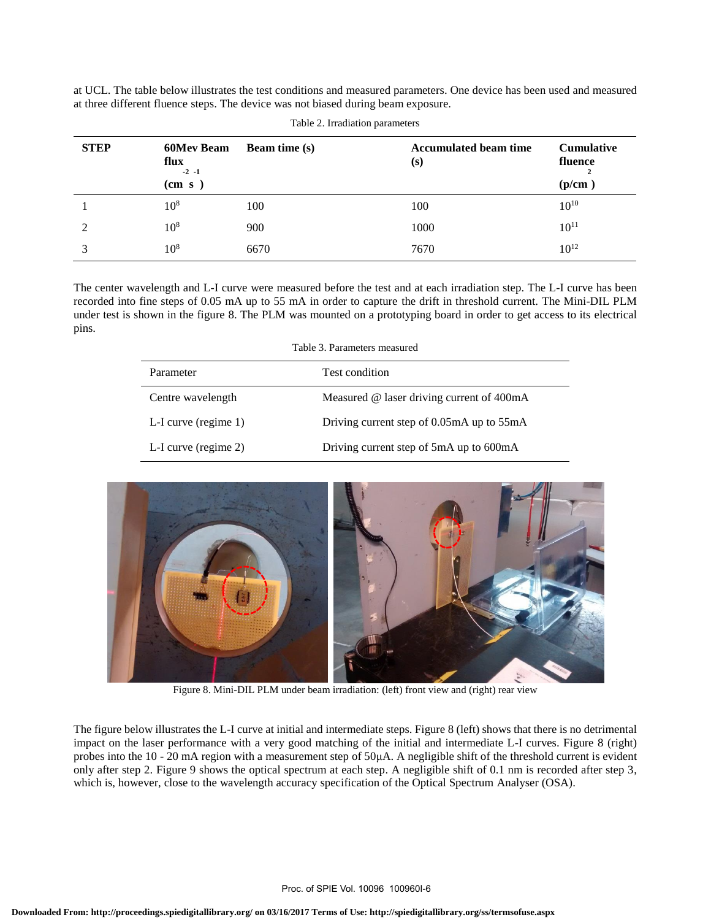at UCL. The table below illustrates the test conditions and measured parameters. One device has been used and measured at three different fluence steps. The device was not biased during beam exposure.

| <b>STEP</b>   | <b>60Mev Beam</b><br>flux<br>$-2$ $-1$<br>(cm s) | <b>Beam time (s)</b> | <b>Accumulated beam time</b><br>(s) | <b>Cumulative</b><br>fluence<br>(p/cm) |
|---------------|--------------------------------------------------|----------------------|-------------------------------------|----------------------------------------|
|               | $10^{8}$                                         | 100                  | 100                                 | $10^{10}$                              |
| $\mathcal{D}$ | $10^{8}$                                         | 900                  | 1000                                | $10^{11}$                              |
| 3             | $10^{8}$                                         | 6670                 | 7670                                | $10^{12}$                              |

Table 2. Irradiation parameters

The center wavelength and L-I curve were measured before the test and at each irradiation step. The L-I curve has been recorded into fine steps of 0.05 mA up to 55 mA in order to capture the drift in threshold current. The Mini-DIL PLM under test is shown in the figure 8. The PLM was mounted on a prototyping board in order to get access to its electrical pins.

| Table 3. Parameters measured |                                           |  |  |  |  |  |  |
|------------------------------|-------------------------------------------|--|--|--|--|--|--|
| Parameter                    | Test condition                            |  |  |  |  |  |  |
| Centre wavelength            | Measured @ laser driving current of 400mA |  |  |  |  |  |  |
| L-I curve (regime 1)         | Driving current step of 0.05mA up to 55mA |  |  |  |  |  |  |
| L-I curve (regime $2$ )      | Driving current step of 5mA up to 600mA   |  |  |  |  |  |  |



Figure 8. Mini-DIL PLM under beam irradiation: (left) front view and (right) rear view

The figure below illustrates the L-I curve at initial and intermediate steps. Figure 8 (left) shows that there is no detrimental impact on the laser performance with a very good matching of the initial and intermediate L-I curves. Figure 8 (right) probes into the 10 - 20 mA region with a measurement step of 50μA. A negligible shift of the threshold current is evident only after step 2. Figure 9 shows the optical spectrum at each step. A negligible shift of 0.1 nm is recorded after step 3, which is, however, close to the wavelength accuracy specification of the Optical Spectrum Analyser (OSA).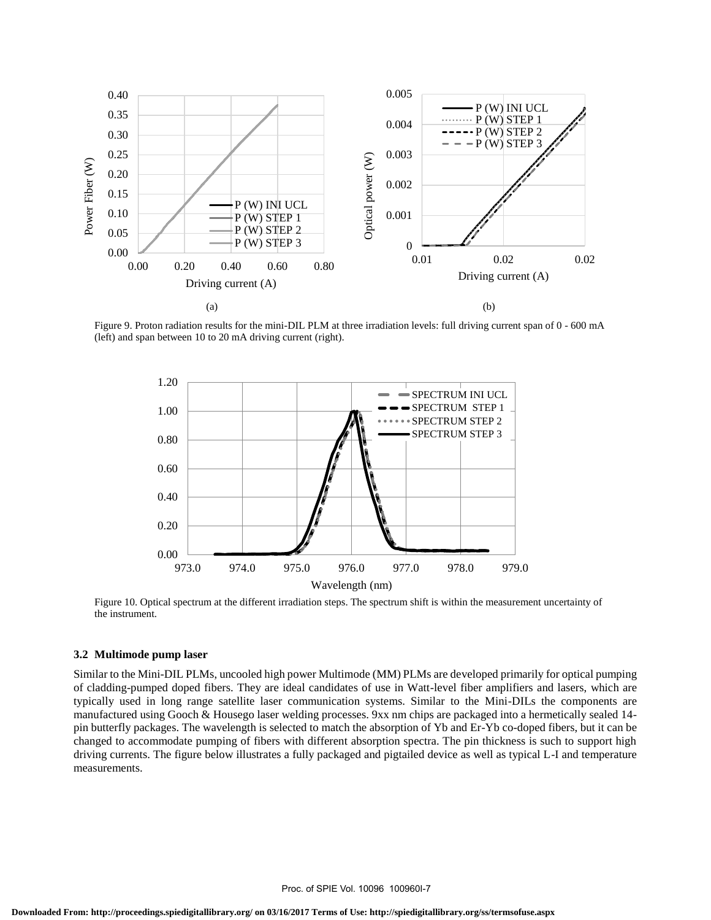

Figure 9. Proton radiation results for the mini-DIL PLM at three irradiation levels: full driving current span of 0 - 600 mA (left) and span between 10 to 20 mA driving current (right).



Figure 10. Optical spectrum at the different irradiation steps. The spectrum shift is within the measurement uncertainty of the instrument.

#### **3.2 Multimode pump laser**

Similar to the Mini-DIL PLMs, uncooled high power Multimode (MM) PLMs are developed primarily for optical pumping of cladding-pumped doped fibers. They are ideal candidates of use in Watt-level fiber amplifiers and lasers, which are typically used in long range satellite laser communication systems. Similar to the Mini-DILs the components are manufactured using Gooch & Housego laser welding processes. 9xx nm chips are packaged into a hermetically sealed 14 pin butterfly packages. The wavelength is selected to match the absorption of Yb and Er-Yb co-doped fibers, but it can be changed to accommodate pumping of fibers with different absorption spectra. The pin thickness is such to support high driving currents. The figure below illustrates a fully packaged and pigtailed device as well as typical L-I and temperature measurements.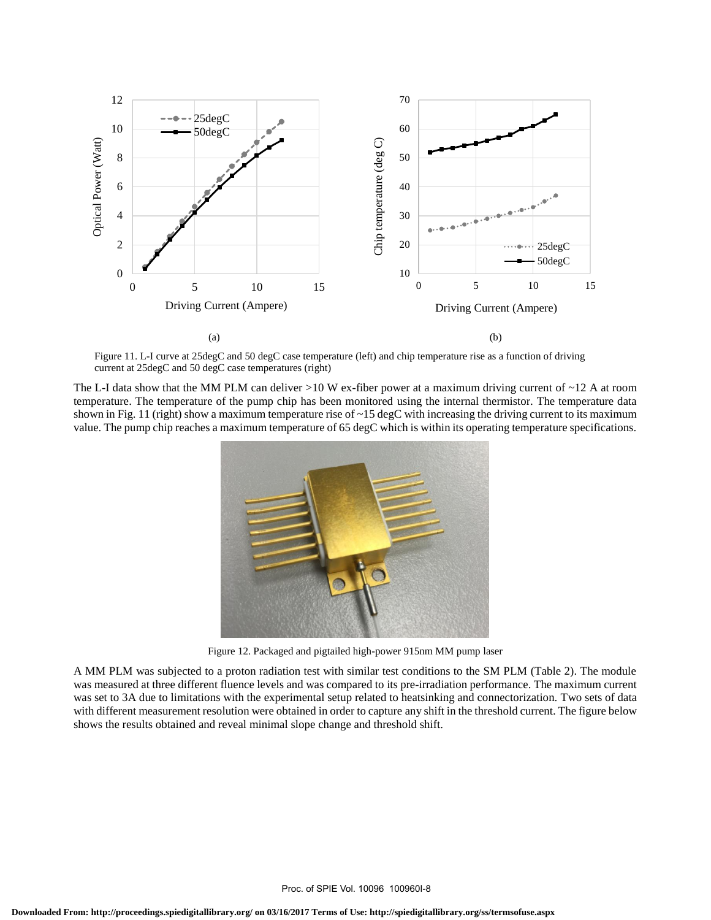

Figure 11. L-I curve at 25degC and 50 degC case temperature (left) and chip temperature rise as a function of driving current at 25degC and 50 degC case temperatures (right)

The L-I data show that the MM PLM can deliver  $>10$  W ex-fiber power at a maximum driving current of  $\sim$ 12 A at room temperature. The temperature of the pump chip has been monitored using the internal thermistor. The temperature data shown in Fig. 11 (right) show a maximum temperature rise of  $\sim$  15 degC with increasing the driving current to its maximum value. The pump chip reaches a maximum temperature of 65 degC which is within its operating temperature specifications.



Figure 12. Packaged and pigtailed high-power 915nm MM pump laser

A MM PLM was subjected to a proton radiation test with similar test conditions to the SM PLM (Table 2). The module was measured at three different fluence levels and was compared to its pre-irradiation performance. The maximum current was set to 3A due to limitations with the experimental setup related to heatsinking and connectorization. Two sets of data with different measurement resolution were obtained in order to capture any shift in the threshold current. The figure below shows the results obtained and reveal minimal slope change and threshold shift.